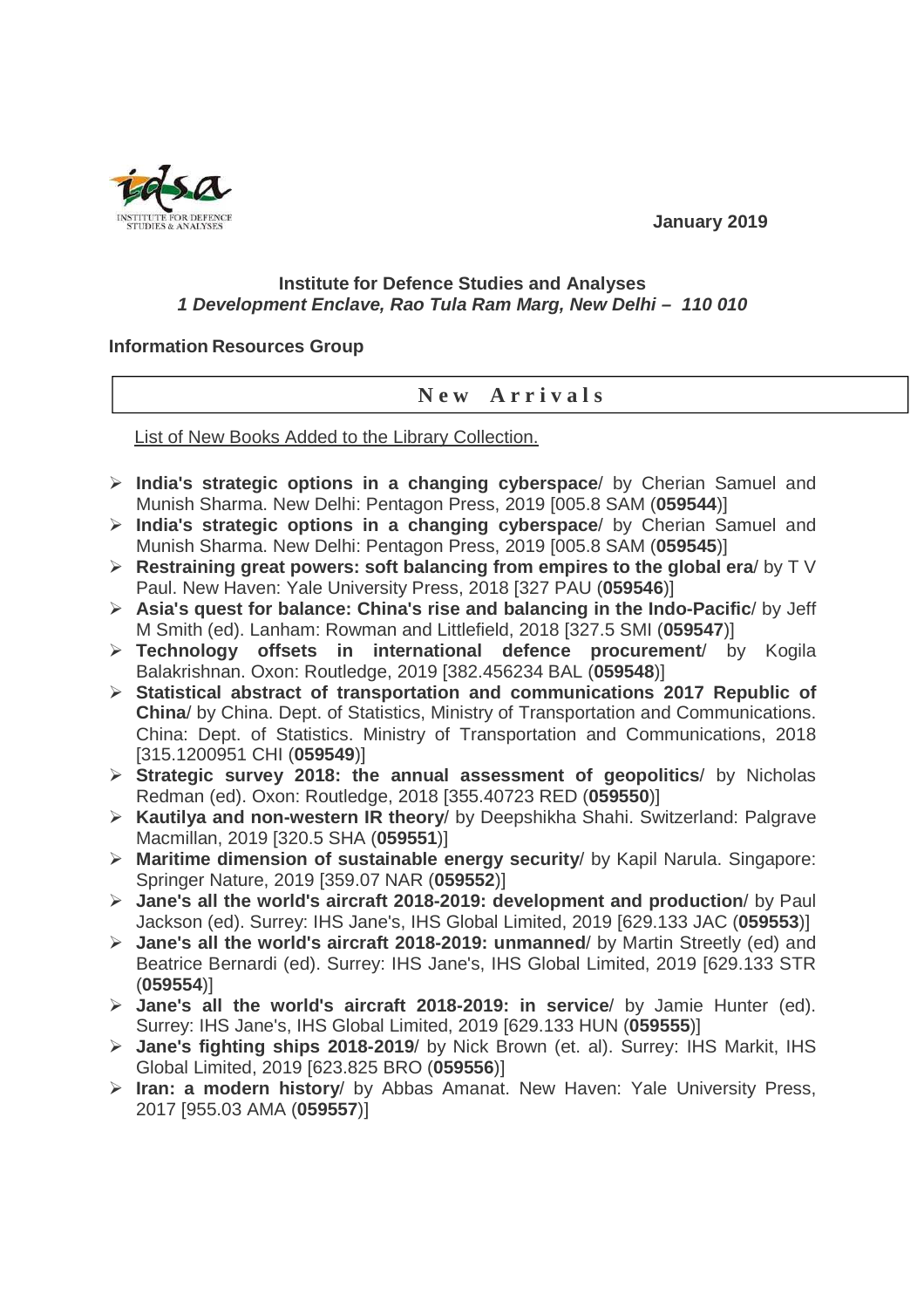**January 2019** 



## **Institute for Defence Studies and Analyses 1 Development Enclave, Rao Tula Ram Marg, New Delhi – 110 010**

## **Information Resources Group**

## **N e w A r r i v a l s**

List of New Books Added to the Library Collection.

- **India's strategic options in a changing cyberspace**/ by Cherian Samuel and Munish Sharma. New Delhi: Pentagon Press, 2019 [005.8 SAM (**059544**)]
- **India's strategic options in a changing cyberspace**/ by Cherian Samuel and Munish Sharma. New Delhi: Pentagon Press, 2019 [005.8 SAM (**059545**)]
- **Restraining great powers: soft balancing from empires to the global era**/ by T V Paul. New Haven: Yale University Press, 2018 [327 PAU (**059546**)]
- **Asia's quest for balance: China's rise and balancing in the Indo-Pacific**/ by Jeff M Smith (ed). Lanham: Rowman and Littlefield, 2018 [327.5 SMI (**059547**)]
- **Technology offsets in international defence procurement**/ by Kogila Balakrishnan. Oxon: Routledge, 2019 [382.456234 BAL (**059548**)]
- **Statistical abstract of transportation and communications 2017 Republic of China**/ by China. Dept. of Statistics, Ministry of Transportation and Communications. China: Dept. of Statistics. Ministry of Transportation and Communications, 2018 [315.1200951 CHI (**059549**)]
- **Strategic survey 2018: the annual assessment of geopolitics**/ by Nicholas Redman (ed). Oxon: Routledge, 2018 [355.40723 RED (**059550**)]
- **Kautilya and non-western IR theory**/ by Deepshikha Shahi. Switzerland: Palgrave Macmillan, 2019 [320.5 SHA (**059551**)]
- **Maritime dimension of sustainable energy security**/ by Kapil Narula. Singapore: Springer Nature, 2019 [359.07 NAR (**059552**)]
- **Jane's all the world's aircraft 2018-2019: development and production**/ by Paul Jackson (ed). Surrey: IHS Jane's, IHS Global Limited, 2019 [629.133 JAC (**059553**)]
- **Jane's all the world's aircraft 2018-2019: unmanned**/ by Martin Streetly (ed) and Beatrice Bernardi (ed). Surrey: IHS Jane's, IHS Global Limited, 2019 [629.133 STR (**059554**)]
- **Jane's all the world's aircraft 2018-2019: in service**/ by Jamie Hunter (ed). Surrey: IHS Jane's, IHS Global Limited, 2019 [629.133 HUN (**059555**)]
- **Jane's fighting ships 2018-2019**/ by Nick Brown (et. al). Surrey: IHS Markit, IHS Global Limited, 2019 [623.825 BRO (**059556**)]
- **Iran: a modern history**/ by Abbas Amanat. New Haven: Yale University Press, 2017 [955.03 AMA (**059557**)]